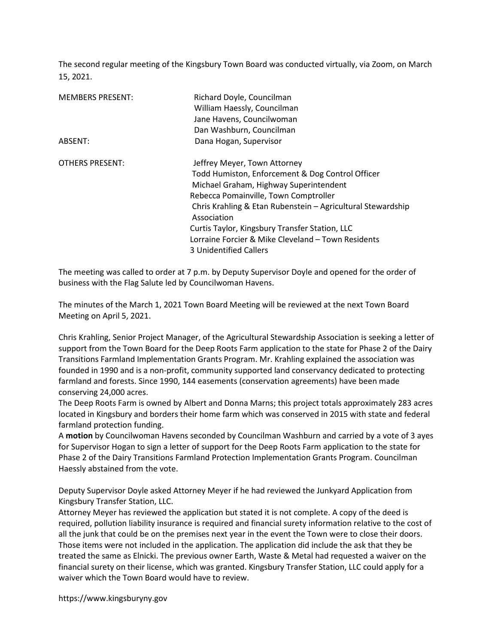The second regular meeting of the Kingsbury Town Board was conducted virtually, via Zoom, on March 15, 2021.

| <b>MEMBERS PRESENT:</b> | Richard Doyle, Councilman<br>William Haessly, Councilman<br>Jane Havens, Councilwoman<br>Dan Washburn, Councilman                                                                                                                                                                                                                                                                   |
|-------------------------|-------------------------------------------------------------------------------------------------------------------------------------------------------------------------------------------------------------------------------------------------------------------------------------------------------------------------------------------------------------------------------------|
| ABSENT:                 | Dana Hogan, Supervisor                                                                                                                                                                                                                                                                                                                                                              |
| <b>OTHERS PRESENT:</b>  | Jeffrey Meyer, Town Attorney<br>Todd Humiston, Enforcement & Dog Control Officer<br>Michael Graham, Highway Superintendent<br>Rebecca Pomainville, Town Comptroller<br>Chris Krahling & Etan Rubenstein - Agricultural Stewardship<br>Association<br>Curtis Taylor, Kingsbury Transfer Station, LLC<br>Lorraine Forcier & Mike Cleveland - Town Residents<br>3 Unidentified Callers |

The meeting was called to order at 7 p.m. by Deputy Supervisor Doyle and opened for the order of business with the Flag Salute led by Councilwoman Havens.

The minutes of the March 1, 2021 Town Board Meeting will be reviewed at the next Town Board Meeting on April 5, 2021.

Chris Krahling, Senior Project Manager, of the Agricultural Stewardship Association is seeking a letter of support from the Town Board for the Deep Roots Farm application to the state for Phase 2 of the Dairy Transitions Farmland Implementation Grants Program. Mr. Krahling explained the association was founded in 1990 and is a non-profit, community supported land conservancy dedicated to protecting farmland and forests. Since 1990, 144 easements (conservation agreements) have been made conserving 24,000 acres.

The Deep Roots Farm is owned by Albert and Donna Marns; this project totals approximately 283 acres located in Kingsbury and borders their home farm which was conserved in 2015 with state and federal farmland protection funding.

A motion by Councilwoman Havens seconded by Councilman Washburn and carried by a vote of 3 ayes for Supervisor Hogan to sign a letter of support for the Deep Roots Farm application to the state for Phase 2 of the Dairy Transitions Farmland Protection Implementation Grants Program. Councilman Haessly abstained from the vote.

Deputy Supervisor Doyle asked Attorney Meyer if he had reviewed the Junkyard Application from Kingsbury Transfer Station, LLC.

Attorney Meyer has reviewed the application but stated it is not complete. A copy of the deed is required, pollution liability insurance is required and financial surety information relative to the cost of all the junk that could be on the premises next year in the event the Town were to close their doors. Those items were not included in the application. The application did include the ask that they be treated the same as Elnicki. The previous owner Earth, Waste & Metal had requested a waiver on the financial surety on their license, which was granted. Kingsbury Transfer Station, LLC could apply for a waiver which the Town Board would have to review.

https://www.kingsburyny.gov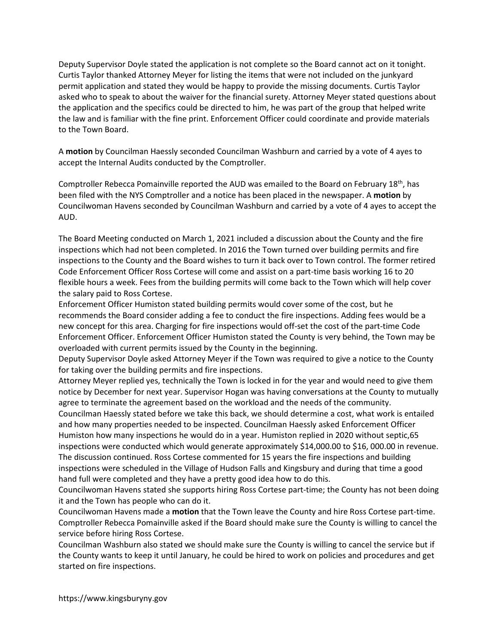Deputy Supervisor Doyle stated the application is not complete so the Board cannot act on it tonight. Curtis Taylor thanked Attorney Meyer for listing the items that were not included on the junkyard permit application and stated they would be happy to provide the missing documents. Curtis Taylor asked who to speak to about the waiver for the financial surety. Attorney Meyer stated questions about the application and the specifics could be directed to him, he was part of the group that helped write the law and is familiar with the fine print. Enforcement Officer could coordinate and provide materials to the Town Board.

A motion by Councilman Haessly seconded Councilman Washburn and carried by a vote of 4 ayes to accept the Internal Audits conducted by the Comptroller.

Comptroller Rebecca Pomainville reported the AUD was emailed to the Board on February 18th, has been filed with the NYS Comptroller and a notice has been placed in the newspaper. A motion by Councilwoman Havens seconded by Councilman Washburn and carried by a vote of 4 ayes to accept the AUD.

The Board Meeting conducted on March 1, 2021 included a discussion about the County and the fire inspections which had not been completed. In 2016 the Town turned over building permits and fire inspections to the County and the Board wishes to turn it back over to Town control. The former retired Code Enforcement Officer Ross Cortese will come and assist on a part-time basis working 16 to 20 flexible hours a week. Fees from the building permits will come back to the Town which will help cover the salary paid to Ross Cortese.

Enforcement Officer Humiston stated building permits would cover some of the cost, but he recommends the Board consider adding a fee to conduct the fire inspections. Adding fees would be a new concept for this area. Charging for fire inspections would off-set the cost of the part-time Code Enforcement Officer. Enforcement Officer Humiston stated the County is very behind, the Town may be overloaded with current permits issued by the County in the beginning.

Deputy Supervisor Doyle asked Attorney Meyer if the Town was required to give a notice to the County for taking over the building permits and fire inspections.

Attorney Meyer replied yes, technically the Town is locked in for the year and would need to give them notice by December for next year. Supervisor Hogan was having conversations at the County to mutually agree to terminate the agreement based on the workload and the needs of the community.

Councilman Haessly stated before we take this back, we should determine a cost, what work is entailed and how many properties needed to be inspected. Councilman Haessly asked Enforcement Officer Humiston how many inspections he would do in a year. Humiston replied in 2020 without septic,65 inspections were conducted which would generate approximately \$14,000.00 to \$16, 000.00 in revenue. The discussion continued. Ross Cortese commented for 15 years the fire inspections and building inspections were scheduled in the Village of Hudson Falls and Kingsbury and during that time a good hand full were completed and they have a pretty good idea how to do this.

Councilwoman Havens stated she supports hiring Ross Cortese part-time; the County has not been doing it and the Town has people who can do it.

Councilwoman Havens made a motion that the Town leave the County and hire Ross Cortese part-time. Comptroller Rebecca Pomainville asked if the Board should make sure the County is willing to cancel the service before hiring Ross Cortese.

Councilman Washburn also stated we should make sure the County is willing to cancel the service but if the County wants to keep it until January, he could be hired to work on policies and procedures and get started on fire inspections.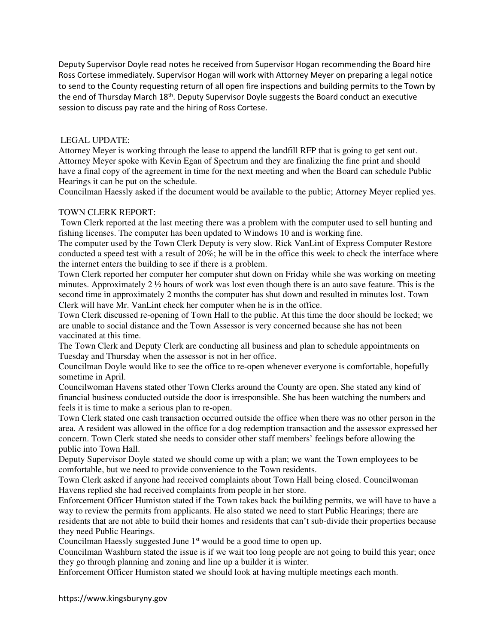Deputy Supervisor Doyle read notes he received from Supervisor Hogan recommending the Board hire Ross Cortese immediately. Supervisor Hogan will work with Attorney Meyer on preparing a legal notice to send to the County requesting return of all open fire inspections and building permits to the Town by the end of Thursday March 18<sup>th</sup>. Deputy Supervisor Doyle suggests the Board conduct an executive session to discuss pay rate and the hiring of Ross Cortese.

#### LEGAL UPDATE:

Attorney Meyer is working through the lease to append the landfill RFP that is going to get sent out. Attorney Meyer spoke with Kevin Egan of Spectrum and they are finalizing the fine print and should have a final copy of the agreement in time for the next meeting and when the Board can schedule Public Hearings it can be put on the schedule.

Councilman Haessly asked if the document would be available to the public; Attorney Meyer replied yes.

#### TOWN CLERK REPORT:

 Town Clerk reported at the last meeting there was a problem with the computer used to sell hunting and fishing licenses. The computer has been updated to Windows 10 and is working fine.

The computer used by the Town Clerk Deputy is very slow. Rick VanLint of Express Computer Restore conducted a speed test with a result of 20%; he will be in the office this week to check the interface where the internet enters the building to see if there is a problem.

Town Clerk reported her computer her computer shut down on Friday while she was working on meeting minutes. Approximately  $2 \frac{1}{2}$  hours of work was lost even though there is an auto save feature. This is the second time in approximately 2 months the computer has shut down and resulted in minutes lost. Town Clerk will have Mr. VanLint check her computer when he is in the office.

Town Clerk discussed re-opening of Town Hall to the public. At this time the door should be locked; we are unable to social distance and the Town Assessor is very concerned because she has not been vaccinated at this time.

The Town Clerk and Deputy Clerk are conducting all business and plan to schedule appointments on Tuesday and Thursday when the assessor is not in her office.

Councilman Doyle would like to see the office to re-open whenever everyone is comfortable, hopefully sometime in April.

Councilwoman Havens stated other Town Clerks around the County are open. She stated any kind of financial business conducted outside the door is irresponsible. She has been watching the numbers and feels it is time to make a serious plan to re-open.

Town Clerk stated one cash transaction occurred outside the office when there was no other person in the area. A resident was allowed in the office for a dog redemption transaction and the assessor expressed her concern. Town Clerk stated she needs to consider other staff members' feelings before allowing the public into Town Hall.

Deputy Supervisor Doyle stated we should come up with a plan; we want the Town employees to be comfortable, but we need to provide convenience to the Town residents.

Town Clerk asked if anyone had received complaints about Town Hall being closed. Councilwoman Havens replied she had received complaints from people in her store.

Enforcement Officer Humiston stated if the Town takes back the building permits, we will have to have a way to review the permits from applicants. He also stated we need to start Public Hearings; there are residents that are not able to build their homes and residents that can't sub-divide their properties because they need Public Hearings.

Councilman Haessly suggested June 1<sup>st</sup> would be a good time to open up.

Councilman Washburn stated the issue is if we wait too long people are not going to build this year; once they go through planning and zoning and line up a builder it is winter.

Enforcement Officer Humiston stated we should look at having multiple meetings each month.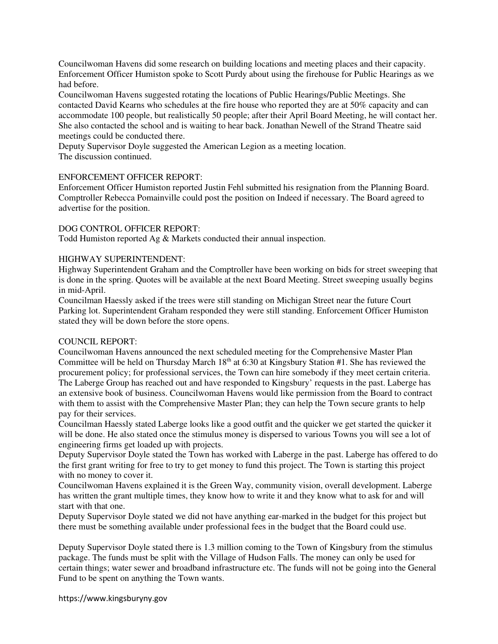Councilwoman Havens did some research on building locations and meeting places and their capacity. Enforcement Officer Humiston spoke to Scott Purdy about using the firehouse for Public Hearings as we had before.

Councilwoman Havens suggested rotating the locations of Public Hearings/Public Meetings. She contacted David Kearns who schedules at the fire house who reported they are at 50% capacity and can accommodate 100 people, but realistically 50 people; after their April Board Meeting, he will contact her. She also contacted the school and is waiting to hear back. Jonathan Newell of the Strand Theatre said meetings could be conducted there.

Deputy Supervisor Doyle suggested the American Legion as a meeting location. The discussion continued.

#### ENFORCEMENT OFFICER REPORT:

Enforcement Officer Humiston reported Justin Fehl submitted his resignation from the Planning Board. Comptroller Rebecca Pomainville could post the position on Indeed if necessary. The Board agreed to advertise for the position.

#### DOG CONTROL OFFICER REPORT:

Todd Humiston reported Ag & Markets conducted their annual inspection.

#### HIGHWAY SUPERINTENDENT:

Highway Superintendent Graham and the Comptroller have been working on bids for street sweeping that is done in the spring. Quotes will be available at the next Board Meeting. Street sweeping usually begins in mid-April.

Councilman Haessly asked if the trees were still standing on Michigan Street near the future Court Parking lot. Superintendent Graham responded they were still standing. Enforcement Officer Humiston stated they will be down before the store opens.

#### COUNCIL REPORT:

Councilwoman Havens announced the next scheduled meeting for the Comprehensive Master Plan Committee will be held on Thursday March 18th at 6:30 at Kingsbury Station #1. She has reviewed the procurement policy; for professional services, the Town can hire somebody if they meet certain criteria. The Laberge Group has reached out and have responded to Kingsbury' requests in the past. Laberge has an extensive book of business. Councilwoman Havens would like permission from the Board to contract with them to assist with the Comprehensive Master Plan; they can help the Town secure grants to help pay for their services.

Councilman Haessly stated Laberge looks like a good outfit and the quicker we get started the quicker it will be done. He also stated once the stimulus money is dispersed to various Towns you will see a lot of engineering firms get loaded up with projects.

Deputy Supervisor Doyle stated the Town has worked with Laberge in the past. Laberge has offered to do the first grant writing for free to try to get money to fund this project. The Town is starting this project with no money to cover it.

Councilwoman Havens explained it is the Green Way, community vision, overall development. Laberge has written the grant multiple times, they know how to write it and they know what to ask for and will start with that one.

Deputy Supervisor Doyle stated we did not have anything ear-marked in the budget for this project but there must be something available under professional fees in the budget that the Board could use.

Deputy Supervisor Doyle stated there is 1.3 million coming to the Town of Kingsbury from the stimulus package. The funds must be split with the Village of Hudson Falls. The money can only be used for certain things; water sewer and broadband infrastructure etc. The funds will not be going into the General Fund to be spent on anything the Town wants.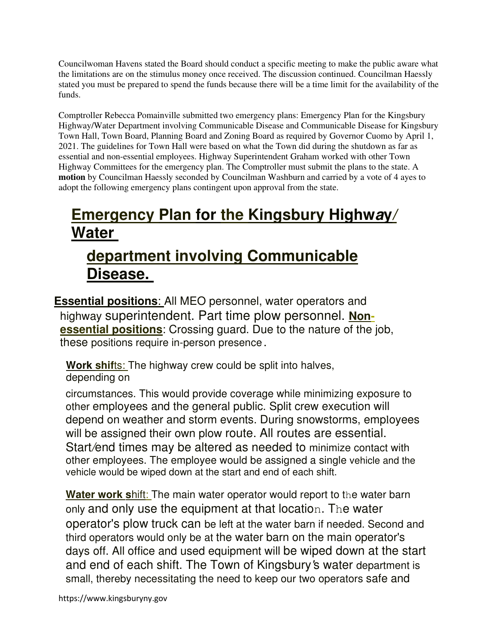Councilwoman Havens stated the Board should conduct a specific meeting to make the public aware what the limitations are on the stimulus money once received. The discussion continued. Councilman Haessly stated you must be prepared to spend the funds because there will be a time limit for the availability of the funds.

Comptroller Rebecca Pomainville submitted two emergency plans: Emergency Plan for the Kingsbury Highway/Water Department involving Communicable Disease and Communicable Disease for Kingsbury Town Hall, Town Board, Planning Board and Zoning Board as required by Governor Cuomo by April 1, 2021. The guidelines for Town Hall were based on what the Town did during the shutdown as far as essential and non-essential employees. Highway Superintendent Graham worked with other Town Highway Committees for the emergency plan. The Comptroller must submit the plans to the state. A **motion** by Councilman Haessly seconded by Councilman Washburn and carried by a vote of 4 ayes to adopt the following emergency plans contingent upon approval from the state.

# **Emergency Plan for the Kingsbury Highway/ Water**

# **department involving Communicable Disease.**

**Essential positions**: All MEO personnel, water operators and highway superintendent. Part time plow personnel. **Nonessential positions**: Crossing guard. Due to the nature of the job, these positions require in-person presence.

**Work shif**ts: The highway crew could be split into halves, depending on

circumstances. This would provide coverage while minimizing exposure to other employees and the general public. Split crew execution will depend on weather and storm events. During snowstorms, employees will be assigned their own plow route. All routes are essential. Start/end times may be altered as needed to minimize contact with other employees. The employee would be assigned a single vehicle and the vehicle would be wiped down at the start and end of each shift.

**Water work s**hift: The main water operator would report to the water barn only and only use the equipment at that location. The water operator's plow truck can be left at the water barn if needed. Second and third operators would only be at the water barn on the main operator's days off. All office and used equipment will be wiped down at the start and end of each shift. The Town of Kingsbury's water department is small, thereby necessitating the need to keep our two operators safe and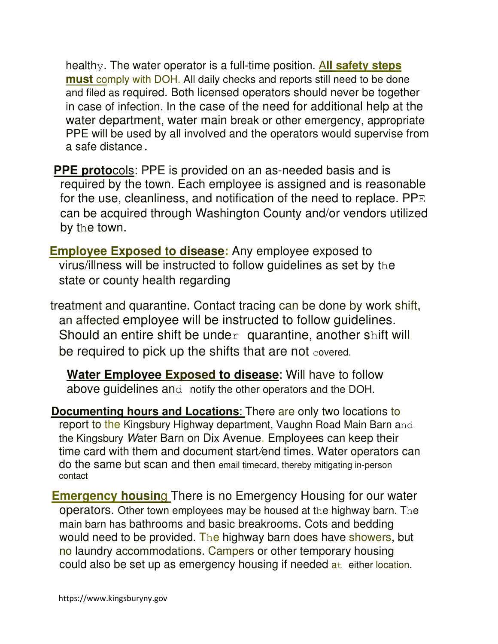healthy. The water operator is a full-time position. A**ll safety steps must** comply with DOH. All daily checks and reports still need to be done and filed as required. Both licensed operators should never be together in case of infection. In the case of the need for additional help at the water department, water main break or other emergency, appropriate PPE will be used by all involved and the operators would supervise from a safe distance.

**PPE proto**cols: PPE is provided on an as-needed basis and is required by the town. Each employee is assigned and is reasonable for the use, cleanliness, and notification of the need to replace. PPE can be acquired through Washington County and/or vendors utilized by the town.

**Employee Exposed to disease:** Any employee exposed to virus/illness will be instructed to follow guidelines as set by the state or county health regarding

treatment and quarantine. Contact tracing can be done by work shift, an affected employee will be instructed to follow guidelines. Should an entire shift be under quarantine, another shift will be required to pick up the shifts that are not covered.

**Water Employee Exposed to disease**: Will have to follow above guidelines and notify the other operators and the DOH.

**Documenting hours and Locations**: There are only two locations to report to the Kingsbury Highway department, Vaughn Road Main Barn and the Kingsbury Water Barn on Dix Avenue. Employees can keep their time card with them and document start/end times. Water operators can do the same but scan and then email timecard, thereby mitigating in-person contact

**Emergency housin**g There is no Emergency Housing for our water operators. Other town employees may be housed at the highway barn. The main barn has bathrooms and basic breakrooms. Cots and bedding would need to be provided. The highway barn does have showers, but no laundry accommodations. Campers or other temporary housing could also be set up as emergency housing if needed  $a<sub>t</sub>$  either location.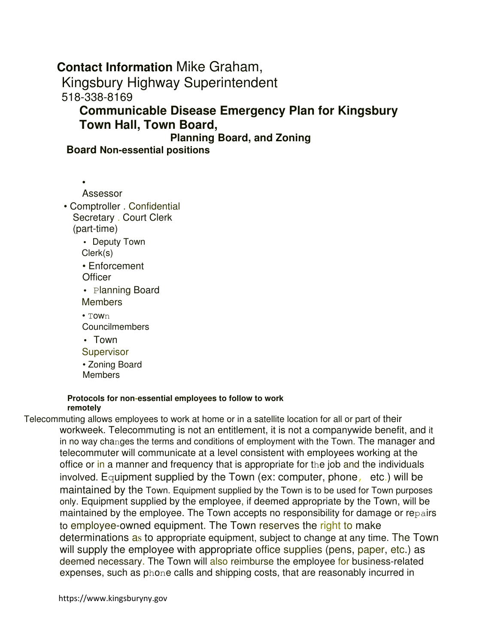## **Contact Information** Mike Graham,

Kingsbury Highway Superintendent 518-338-8169

## **Communicable Disease Emergency Plan for Kingsbury Town Hall, Town Board,**

**Planning Board, and Zoning** 

**Board Non-essential positions** 

Assessor

•

• Comptroller . Confidential Secretary . Court Clerk (part-time) • Deputy Town Clerk(s) • Enforcement **Officer** • Planning Board **Members** • Town **Councilmembers** • Town **Supervisor** • Zoning Board **Members** 

#### **Protocols for non-essential employees to follow to work remotely**

Telecommuting allows employees to work at home or in a satellite location for all or part of their workweek. Telecommuting is not an entitlement, it is not a companywide benefit, and it in no way changes the terms and conditions of employment with the Town. The manager and telecommuter will communicate at a level consistent with employees working at the office or in a manner and frequency that is appropriate for the job and the individuals involved. Equipment supplied by the Town (ex: computer, phone, etc.) will be maintained by the Town. Equipment supplied by the Town is to be used for Town purposes only. Equipment supplied by the employee, if deemed appropriate by the Town, will be maintained by the employee. The Town accepts no responsibility for damage or repairs to employee-owned equipment. The Town reserves the right to make determinations as to appropriate equipment, subject to change at any time. The Town will supply the employee with appropriate office supplies (pens, paper, etc.) as deemed necessary. The Town will also reimburse the employee for business-related expenses, such as phone calls and shipping costs, that are reasonably incurred in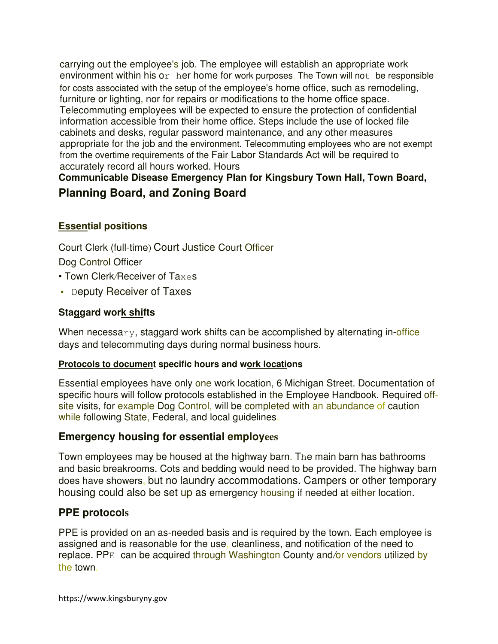carrying out the employee's job. The employee will establish an appropriate work environment within his  $or$  her home for work purposes. The Town will not be responsible for costs associated with the setup of the employee's home office, such as remodeling, furniture or lighting, nor for repairs or modifications to the home office space. Telecommuting employees will be expected to ensure the protection of confidential information accessible from their home office. Steps include the use of locked file cabinets and desks, regular password maintenance, and any other measures appropriate for the job and the environment. Telecommuting employees who are not exempt from the overtime requirements of the Fair Labor Standards Act will be required to accurately record all hours worked. Hours

**Communicable Disease Emergency Plan for Kingsbury Town Hall, Town Board,** 

# **Planning Board, and Zoning Board**

## **Essential positions**

Court Clerk (full-time) Court Justice Court Officer Dog Control Officer • Town Clerk/Receiver of Taxes

• Deputy Receiver of Taxes

## **Staggard work shifts**

When necessary, staggard work shifts can be accomplished by alternating in-office days and telecommuting days during normal business hours.

## **Protocols to document specific hours and work locations**

Essential employees have only one work location, 6 Michigan Street. Documentation of specific hours will follow protocols established in the Employee Handbook. Required offsite visits, for example Dog Control, will be completed with an abundance of caution while following State, Federal, and local quidelines.

## **Emergency housing for essential employees**

Town employees may be housed at the highway barn. The main barn has bathrooms and basic breakrooms. Cots and bedding would need to be provided. The highway barn does have showers, but no laundry accommodations. Campers or other temporary housing could also be set up as emergency housing if needed at either location.

## **PPE protocols**

PPE is provided on an as-needed basis and is required by the town. Each employee is assigned and is reasonable for the use, cleanliness, and notification of the need to replace. PPE can be acquired through Washington County and/or vendors utilized by the town.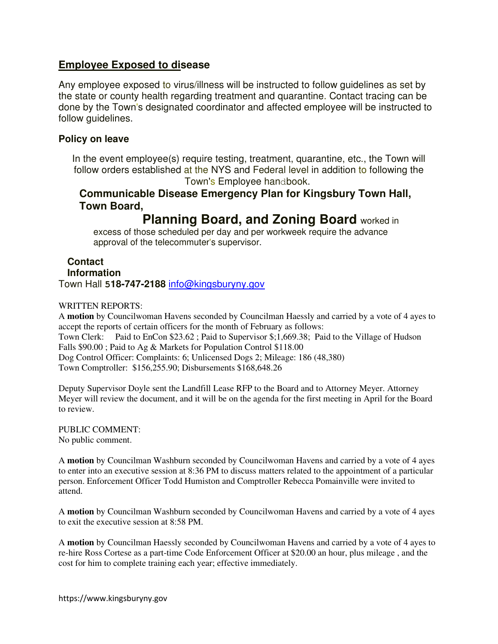## **Employee Exposed to disease**

Any employee exposed to virus/illness will be instructed to follow guidelines as set by the state or county health regarding treatment and quarantine. Contact tracing can be done by the Town's designated coordinator and affected employee will be instructed to follow guidelines.

### **Policy on leave**

In the event employee(s) require testing, treatment, quarantine, etc., the Town will follow orders established at the NYS and Federal level in addition to following the Town's Employee handbook.

## **Communicable Disease Emergency Plan for Kingsbury Town Hall, Town Board,**

# **Planning Board, and Zoning Board** worked in

excess of those scheduled per day and per workweek require the advance approval of the telecommuter's supervisor.

### **Contact Information**  Town Hall **518-747-2188** info@kingsburyny.gov

WRITTEN REPORTS:

A **motion** by Councilwoman Havens seconded by Councilman Haessly and carried by a vote of 4 ayes to accept the reports of certain officers for the month of February as follows: Town Clerk: Paid to EnCon \$23.62 ; Paid to Supervisor \$;1,669.38; Paid to the Village of Hudson Falls \$90.00 ; Paid to Ag & Markets for Population Control \$118.00 Dog Control Officer: Complaints: 6; Unlicensed Dogs 2; Mileage: 186 (48,380) Town Comptroller: \$156,255.90; Disbursements \$168,648.26

Deputy Supervisor Doyle sent the Landfill Lease RFP to the Board and to Attorney Meyer. Attorney Meyer will review the document, and it will be on the agenda for the first meeting in April for the Board to review.

PUBLIC COMMENT: No public comment.

A **motion** by Councilman Washburn seconded by Councilwoman Havens and carried by a vote of 4 ayes to enter into an executive session at 8:36 PM to discuss matters related to the appointment of a particular person. Enforcement Officer Todd Humiston and Comptroller Rebecca Pomainville were invited to attend.

A **motion** by Councilman Washburn seconded by Councilwoman Havens and carried by a vote of 4 ayes to exit the executive session at 8:58 PM.

A **motion** by Councilman Haessly seconded by Councilwoman Havens and carried by a vote of 4 ayes to re-hire Ross Cortese as a part-time Code Enforcement Officer at \$20.00 an hour, plus mileage , and the cost for him to complete training each year; effective immediately.